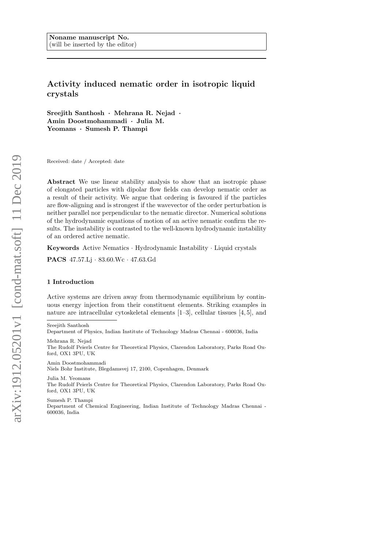# Activity induced nematic order in isotropic liquid crystals

Sreejith Santhosh · Mehrana R. Nejad · Amin Doostmohammadi · Julia M. Yeomans · Sumesh P. Thampi

Received: date / Accepted: date

Abstract We use linear stability analysis to show that an isotropic phase of elongated particles with dipolar flow fields can develop nematic order as a result of their activity. We argue that ordering is favoured if the particles are flow-aligning and is strongest if the wavevector of the order perturbation is neither parallel nor perpendicular to the nematic director. Numerical solutions of the hydrodynamic equations of motion of an active nematic confirm the results. The instability is contrasted to the well-known hydrodynamic instability of an ordered active nematic.

Keywords Active Nematics · Hydrodynamic Instability · Liquid crystals

PACS 47.57.Lj · 83.60.Wc · 47.63.Gd

## 1 Introduction

Active systems are driven away from thermodynamic equilibrium by continuous energy injection from their constituent elements. Striking examples in nature are intracellular cytoskeletal elements [1–3], cellular tissues [4, 5], and

Mehrana R. Nejad The Rudolf Peierls Centre for Theoretical Physics, Clarendon Laboratory, Parks Road Oxford, OX1 3PU, UK

Amin Doostmohammadi Niels Bohr Institute, Blegdamsvej 17, 2100, Copenhagen, Denmark

Julia M. Yeomans The Rudolf Peierls Centre for Theoretical Physics, Clarendon Laboratory, Parks Road Oxford, OX1 3PU, UK

Sumesh P. Thampi Department of Chemical Engineering, Indian Institute of Technology Madras Chennai - 600036, India

Sreejith Santhosh

Department of Physics, Indian Institute of Technology Madras Chennai - 600036, India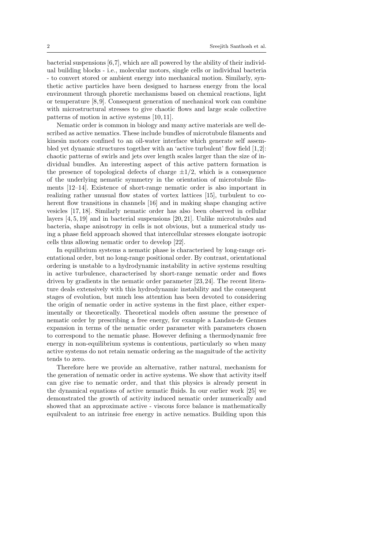bacterial suspensions  $[6,7]$ , which are all powered by the ability of their individual building blocks - i.e., molecular motors, single cells or individual bacteria - to convert stored or ambient energy into mechanical motion. Similarly, synthetic active particles have been designed to harness energy from the local environment through phoretic mechanisms based on chemical reactions, light or temperature [8, 9]. Consequent generation of mechanical work can combine with microstructural stresses to give chaotic flows and large scale collective patterns of motion in active systems [10, 11].

Nematic order is common in biology and many active materials are well described as active nematics. These include bundles of microtubule filaments and kinesin motors confined to an oil-water interface which generate self assembled yet dynamic structures together with an 'active turbulent' flow field [1,2]: chaotic patterns of swirls and jets over length scales larger than the size of individual bundles. An interesting aspect of this active pattern formation is the presence of topological defects of charge  $\pm 1/2$ , which is a consequence of the underlying nematic symmetry in the orientation of microtubule filaments [12–14]. Existence of short-range nematic order is also important in realizing rather unusual flow states of vortex lattices [15], turbulent to coherent flow transitions in channels [16] and in making shape changing active vesicles [17, 18]. Similarly nematic order has also been observed in cellular layers [4, 5, 19] and in bacterial suspensions [20, 21]. Unlike microtubules and bacteria, shape anisotropy in cells is not obvious, but a numerical study using a phase field approach showed that intercellular stresses elongate isotropic cells thus allowing nematic order to develop [22].

In equilibrium systems a nematic phase is characterised by long-range orientational order, but no long-range positional order. By contrast, orientational ordering is unstable to a hydrodynamic instability in active systems resulting in active turbulence, characterised by short-range nematic order and flows driven by gradients in the nematic order parameter [23, 24]. The recent literature deals extensively with this hydrodynamic instability and the consequent stages of evolution, but much less attention has been devoted to considering the origin of nematic order in active systems in the first place, either experimentally or theoretically. Theoretical models often assume the presence of nematic order by prescribing a free energy, for example a Landau-de Gennes expansion in terms of the nematic order parameter with parameters chosen to correspond to the nematic phase. However defining a thermodynamic free energy in non-equilibrium systems is contentious, particularly so when many active systems do not retain nematic ordering as the magnitude of the activity tends to zero.

Therefore here we provide an alternative, rather natural, mechanism for the generation of nematic order in active systems. We show that activity itself can give rise to nematic order, and that this physics is already present in the dynamical equations of active nematic fluids. In our earlier work [25] we demonstrated the growth of activity induced nematic order numerically and showed that an approximate active - viscous force balance is mathematically equilvalent to an intrinsic free energy in active nematics. Building upon this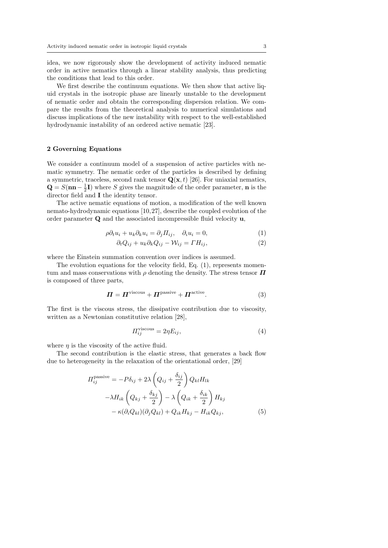idea, we now rigorously show the development of activity induced nematic order in active nematics through a linear stability analysis, thus predicting the conditions that lead to this order.

We first describe the continuum equations. We then show that active liquid crystals in the isotropic phase are linearly unstable to the development of nematic order and obtain the corresponding dispersion relation. We compare the results from the theoretical analysis to numerical simulations and discuss implications of the new instability with respect to the well-established hydrodynamic instability of an ordered active nematic [23].

## 2 Governing Equations

We consider a continuum model of a suspension of active particles with nematic symmetry. The nematic order of the particles is described by defining a symmetric, traceless, second rank tensor  $\mathbf{Q}(\mathbf{x}, t)$  [26]. For uniaxial nematics,  $\mathbf{Q} = S(\mathbf{n}\mathbf{n} - \frac{1}{2}\mathbf{I})$  where S gives the magnitude of the order parameter, **n** is the director field and I the identity tensor.

The active nematic equations of motion, a modification of the well known nemato-hydrodynamic equations [10,27], describe the coupled evolution of the order parameter Q and the associated incompressible fluid velocity u,

$$
\rho \partial_t u_i + u_k \partial_k u_i = \partial_j \Pi_{ij}, \quad \partial_i u_i = 0,
$$
\n(1)

$$
\partial_t Q_{ij} + u_k \partial_k Q_{ij} - \mathcal{W}_{ij} = \Gamma H_{ij},\tag{2}
$$

where the Einstein summation convention over indices is assumed.

The evolution equations for the velocity field, Eq. (1), represents momentum and mass conservations with  $\rho$  denoting the density. The stress tensor  $\boldsymbol{\varPi}$ is composed of three parts,

$$
\boldsymbol{\Pi} = \boldsymbol{\Pi}^{\text{viscous}} + \boldsymbol{\Pi}^{\text{passive}} + \boldsymbol{\Pi}^{\text{active}}.\tag{3}
$$

The first is the viscous stress, the dissipative contribution due to viscosity, written as a Newtonian constitutive relation [28],

$$
\Pi_{ij}^{\text{viscous}} = 2\eta E_{ij},\tag{4}
$$

where  $\eta$  is the viscosity of the active fluid.

The second contribution is the elastic stress, that generates a back flow due to heterogeneity in the relaxation of the orientational order, [29]

$$
H_{ij}^{\text{passive}} = -P\delta_{ij} + 2\lambda \left(Q_{ij} + \frac{\delta_{ij}}{2}\right) Q_{kl} H_{lk}
$$

$$
- \lambda H_{ik} \left(Q_{kj} + \frac{\delta_{kj}}{2}\right) - \lambda \left(Q_{ik} + \frac{\delta_{ik}}{2}\right) H_{kj}
$$

$$
- \kappa (\partial_i Q_{kl}) (\partial_j Q_{kl}) + Q_{ik} H_{kj} - H_{ik} Q_{kj}, \qquad (5)
$$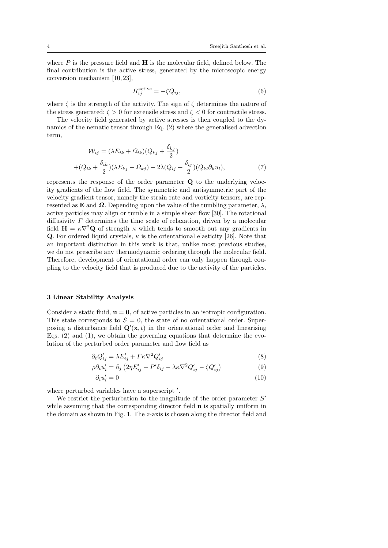where  $P$  is the pressure field and  $H$  is the molecular field, defined below. The final contribution is the active stress, generated by the microscopic energy conversion mechanism [10, 23],

$$
\Pi_{ij}^{\text{active}} = -\zeta Q_{ij},\tag{6}
$$

where  $\zeta$  is the strength of the activity. The sign of  $\zeta$  determines the nature of the stress generated:  $\zeta > 0$  for extensile stress and  $\zeta < 0$  for contractile stress.

The velocity field generated by active stresses is then coupled to the dynamics of the nematic tensor through Eq. (2) where the generalised advection term,

$$
\mathcal{W}_{ij} = (\lambda E_{ik} + \Omega_{ik})(Q_{kj} + \frac{\delta_{kj}}{2})
$$

$$
+ (Q_{ik} + \frac{\delta_{ik}}{2})(\lambda E_{kj} - \Omega_{kj}) - 2\lambda(Q_{ij} + \frac{\delta_{ij}}{2})(Q_{kl}\partial_k u_l), \tag{7}
$$

represents the response of the order parameter Q to the underlying velocity gradients of the flow field. The symmetric and antisymmetric part of the velocity gradient tensor, namely the strain rate and vorticity tensors, are represented as **E** and  $\Omega$ . Depending upon the value of the tumbling parameter,  $\lambda$ , active particles may align or tumble in a simple shear flow [30]. The rotational diffusivity Γ determines the time scale of relaxation, driven by a molecular field  $H = \kappa \nabla^2 Q$  of strength  $\kappa$  which tends to smooth out any gradients in Q. For ordered liquid crystals,  $\kappa$  is the orientational elasticity [26]. Note that an important distinction in this work is that, unlike most previous studies, we do not prescribe any thermodynamic ordering through the molecular field. Therefore, development of orientational order can only happen through coupling to the velocity field that is produced due to the activity of the particles.

### 3 Linear Stability Analysis

Consider a static fluid,  $\mathbf{u} = \mathbf{0}$ , of active particles in an isotropic configuration. This state corresponds to  $S = 0$ , the state of no orientational order. Superposing a disturbance field  $\mathbf{Q}'(\mathbf{x},t)$  in the orientational order and linearising Eqs.  $(2)$  and  $(1)$ , we obtain the governing equations that determine the evolution of the perturbed order parameter and flow field as

$$
\partial_t Q'_{ij} = \lambda E'_{ij} + \Gamma \kappa \nabla^2 Q'_{ij} \tag{8}
$$

$$
\rho \partial_t u_i' = \partial_j \left( 2\eta E_{ij}' - P' \delta_{ij} - \lambda \kappa \nabla^2 Q_{ij}' - \zeta Q_{ij}' \right)
$$
\n(9)

$$
\partial_i u_i' = 0 \tag{10}
$$

where perturbed variables have a superscript'.

We restrict the perturbation to the magnitude of the order parameter  $S'$ while assuming that the corresponding director field **n** is spatially uniform in the domain as shown in Fig. 1. The  $z$ -axis is chosen along the director field and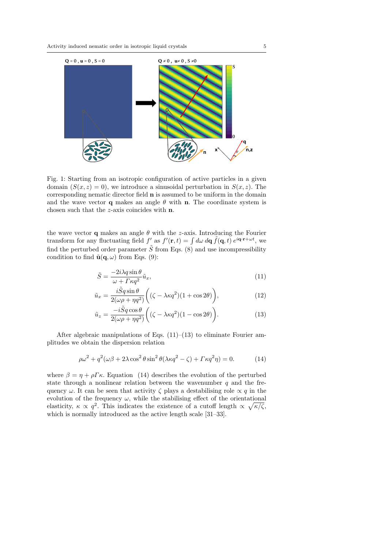

Fig. 1: Starting from an isotropic configuration of active particles in a given domain  $(S(x, z) = 0)$ , we introduce a sinusoidal perturbation in  $S(x, z)$ . The corresponding nematic director field n is assumed to be uniform in the domain and the wave vector **q** makes an angle  $\theta$  with **n**. The coordinate system is chosen such that the z-axis coincides with n.

the wave vector **q** makes an angle  $\theta$  with the *z*-axis. Introducing the Fourier transform for any fluctuating field f' as  $f'(\mathbf{r},t) = \int d\omega \, d\mathbf{q} \, \tilde{f}(\mathbf{q},t) e^{i\mathbf{q}\cdot\mathbf{r} + \omega t}$ , we find the perturbed order parameter  $\tilde{S}$  from Eqs. (8) and use incompressibility condition to find  $\tilde{\mathbf{u}}(\mathbf{q}, \omega)$  from Eqs. (9):

$$
\tilde{S} = \frac{-2i\lambda q \sin \theta}{\omega + \Gamma \kappa q^2} \tilde{u}_x,\tag{11}
$$

$$
\tilde{u}_x = \frac{i\tilde{S}q\sin\theta}{2(\omega\rho + \eta q^2)} \bigg( (\zeta - \lambda\kappa q^2)(1 + \cos 2\theta) \bigg),\tag{12}
$$

$$
\tilde{u}_z = \frac{-i\tilde{S}q\cos\theta}{2(\omega\rho + \eta q^2)} \bigg( (\zeta - \lambda\kappa q^2)(1 - \cos 2\theta) \bigg). \tag{13}
$$

After algebraic manipulations of Eqs.  $(11)$ – $(13)$  to eliminate Fourier amplitudes we obtain the dispersion relation

$$
\rho \omega^2 + q^2 (\omega \beta + 2\lambda \cos^2 \theta \sin^2 \theta (\lambda \kappa q^2 - \zeta) + \Gamma \kappa q^2 \eta) = 0. \tag{14}
$$

where  $\beta = \eta + \rho \Gamma \kappa$ . Equation (14) describes the evolution of the perturbed state through a nonlinear relation between the wavenumber  $q$  and the frequency  $\omega$ . It can be seen that activity  $\zeta$  plays a destabilising role  $\propto q$  in the evolution of the frequency  $\omega$ , while the stabilising effect of the orientational elasticity,  $\kappa \propto q^2$ . This indicates the existence of a cutoff length  $\propto \sqrt{\kappa/\zeta}$ , which is normally introduced as the active length scale [31–33].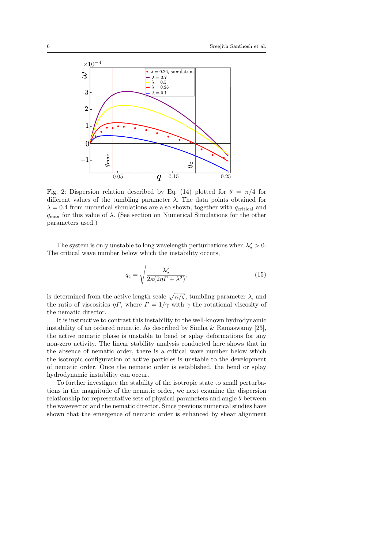

Fig. 2: Dispersion relation described by Eq. (14) plotted for  $\theta = \pi/4$  for different values of the tumbling parameter  $\lambda$ . The data points obtained for  $\lambda = 0.4$  from numerical simulations are also shown, together with  $q_{\text{critical}}$  and  $q_{\text{max}}$  for this value of  $\lambda$ . (See section on Numerical Simulations for the other parameters used.)

The system is only unstable to long wavelength perturbations when  $\lambda \zeta > 0$ . The critical wave number below which the instability occurs,

$$
q_c = \sqrt{\frac{\lambda \zeta}{2\kappa (2\eta \Gamma + \lambda^2)}},\tag{15}
$$

is determined from the active length scale  $\sqrt{\kappa/\zeta}$ , tumbling parameter  $\lambda$ , and the ratio of viscosities  $\eta \Gamma$ , where  $\Gamma = 1/\gamma$  with  $\gamma$  the rotational viscosity of the nematic director.

It is instructive to contrast this instability to the well-known hydrodynamic instability of an ordered nematic. As described by Simha & Ramaswamy [23], the active nematic phase is unstable to bend or splay deformations for any non-zero activity. The linear stability analysis conducted here shows that in the absence of nematic order, there is a critical wave number below which the isotropic configuration of active particles is unstable to the development of nematic order. Once the nematic order is established, the bend or splay hydrodynamic instability can occur.

To further investigate the stability of the isotropic state to small perturbations in the magnitude of the nematic order, we next examine the dispersion relationship for representative sets of physical parameters and angle  $\theta$  between the wavevector and the nematic director. Since previous numerical studies have shown that the emergence of nematic order is enhanced by shear alignment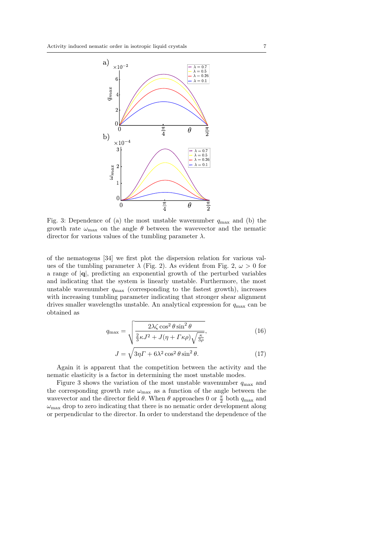

Fig. 3: Dependence of (a) the most unstable wavenumber  $q_{\text{max}}$  and (b) the growth rate  $\omega_{\text{max}}$  on the angle  $\theta$  between the wavevector and the nematic director for various values of the tumbling parameter  $\lambda$ .

of the nematogens [34] we first plot the dispersion relation for various values of the tumbling parameter  $\lambda$  (Fig. 2). As evident from Fig. 2,  $\omega > 0$  for a range of |q|, predicting an exponential growth of the perturbed variables and indicating that the system is linearly unstable. Furthermore, the most unstable wavenumber  $q_{\text{max}}$  (corresponding to the fastest growth), increases with increasing tumbling parameter indicating that stronger shear alignment drives smaller wavelengths unstable. An analytical expression for  $q_{\text{max}}$  can be obtained as

$$
q_{\max} = \sqrt{\frac{2\lambda\zeta\cos^2\theta\sin^2\theta}{\frac{2}{3}\kappa J^2 + J(\eta + \Gamma\kappa\rho)\sqrt{\frac{\kappa}{3\rho}}}},\tag{16}
$$

$$
J = \sqrt{3\eta \Gamma + 6\lambda^2 \cos^2 \theta \sin^2 \theta}.
$$
 (17)

Again it is apparent that the competition between the activity and the nematic elasticity is a factor in determining the most unstable modes.

Figure 3 shows the variation of the most unstable wavenumber  $q_{\text{max}}$  and the corresponding growth rate  $\omega_{\text{max}}$  as a function of the angle between the wavevector and the director field  $\theta$ . When  $\theta$  approaches 0 or  $\frac{\pi}{2}$  both  $q_{\text{max}}$  and  $\omega_{\text{max}}$  drop to zero indicating that there is no nematic order development along or perpendicular to the director. In order to understand the dependence of the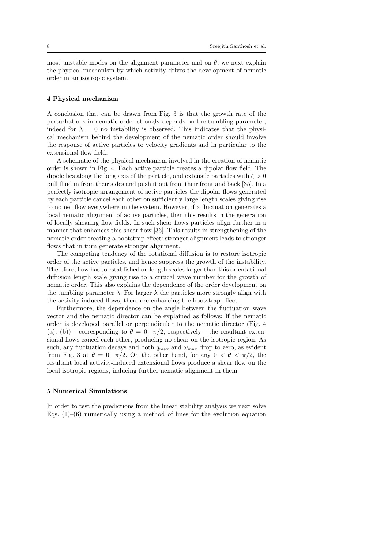most unstable modes on the alignment parameter and on  $\theta$ , we next explain the physical mechanism by which activity drives the development of nematic order in an isotropic system.

### 4 Physical mechanism

A conclusion that can be drawn from Fig. 3 is that the growth rate of the perturbations in nematic order strongly depends on the tumbling parameter; indeed for  $\lambda = 0$  no instability is observed. This indicates that the physical mechanism behind the development of the nematic order should involve the response of active particles to velocity gradients and in particular to the extensional flow field.

A schematic of the physical mechanism involved in the creation of nematic order is shown in Fig. 4. Each active particle creates a dipolar flow field. The dipole lies along the long axis of the particle, and extensile particles with  $\zeta > 0$ pull fluid in from their sides and push it out from their front and back [35]. In a perfectly isotropic arrangement of active particles the dipolar flows generated by each particle cancel each other on sufficiently large length scales giving rise to no net flow everywhere in the system. However, if a fluctuation generates a local nematic alignment of active particles, then this results in the generation of locally shearing flow fields. In such shear flows particles align further in a manner that enhances this shear flow [36]. This results in strengthening of the nematic order creating a bootstrap effect: stronger alignment leads to stronger flows that in turn generate stronger alignment.

The competing tendency of the rotational diffusion is to restore isotropic order of the active particles, and hence suppress the growth of the instability. Therefore, flow has to established on length scales larger than this orientational diffusion length scale giving rise to a critical wave number for the growth of nematic order. This also explains the dependence of the order development on the tumbling parameter  $\lambda$ . For larger  $\lambda$  the particles more strongly align with the activity-induced flows, therefore enhancing the bootstrap effect.

Furthermore, the dependence on the angle between the fluctuation wave vector and the nematic director can be explained as follows: If the nematic order is developed parallel or perpendicular to the nematic director (Fig. 4 (a), (b)) - corresponding to  $\theta = 0, \pi/2$ , respectively - the resultant extensional flows cancel each other, producing no shear on the isotropic region. As such, any fluctuation decays and both  $q_{\text{max}}$  and  $\omega_{\text{max}}$  drop to zero, as evident from Fig. 3 at  $\theta = 0$ ,  $\pi/2$ . On the other hand, for any  $0 < \theta < \pi/2$ , the resultant local activity-induced extensional flows produce a shear flow on the local isotropic regions, inducing further nematic alignment in them.

#### 5 Numerical Simulations

In order to test the predictions from the linear stability analysis we next solve Eqs.  $(1)$ – $(6)$  numerically using a method of lines for the evolution equation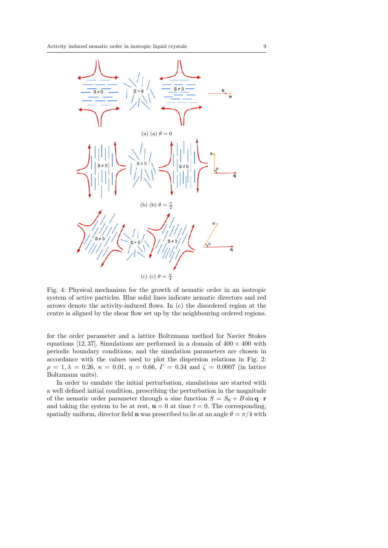

Fig. 4: Physical mechanism for the growth of nematic order in an isotropic system of active particles. Blue solid lines indicate nematic directors and red arrows denote the activity-induced flows. In (c) the disordered region at the centre is aligned by the shear flow set up by the neighbouring ordered regions.

for the order parameter and a lattice Boltzmann method for Navier Stokes equations [12, 37]. Simulations are performed in a domain of  $400 \times 400$  with periodic boundary conditions, and the simulation parameters are chosen in accordance with the values used to plot the dispersion relations in Fig. 2:  $\rho = 1, \lambda = 0.26, \kappa = 0.01, \eta = 0.66, \Gamma = 0.34$  and  $\zeta = 0.0007$  (in lattice Boltzmann units).

In order to emulate the initial perturbation, simulations are started with a well defined initial condition, prescribing the perturbation in the magnitude of the nematic order parameter through a sine function  $S = S_0 + B \sin \mathbf{q} \cdot \mathbf{r}$ and taking the system to be at rest,  $\mathbf{u} = 0$  at time  $t = 0$ . The corresponding, spatially uniform, director field **n** was prescribed to lie at an angle  $\theta = \pi/4$  with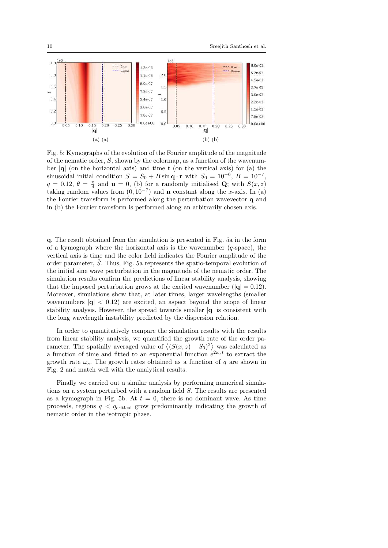

Fig. 5: Kymographs of the evolution of the Fourier amplitude of the magnitude of the nematic order,  $\hat{S}$ , shown by the colormap, as a function of the wavenumber  $|q|$  (on the horizontal axis) and time t (on the vertical axis) for (a) the sinusoidal initial condition  $S = S_0 + B \sin \mathbf{q} \cdot \mathbf{r}$  with  $S_0 = 10^{-6}, B = 10^{-7}$ ,  $q = 0.12, \ \theta = \frac{\pi}{4}$  and  $\mathbf{u} = 0$ , (b) for a randomly initialised Q; with  $S(x, z)$ taking random values from  $(0, 10^{-7})$  and **n** constant along the x-axis. In (a) the Fourier transform is performed along the perturbation wavevector q and in (b) the Fourier transform is performed along an arbitrarily chosen axis.

q. The result obtained from the simulation is presented in Fig. 5a in the form of a kymograph where the horizontal axis is the wavenumber  $(q$ -space), the vertical axis is time and the color field indicates the Fourier amplitude of the order parameter,  $\hat{S}$ . Thus, Fig. 5a represents the spatio-temporal evolution of the initial sine wave perturbation in the magnitude of the nematic order. The simulation results confirm the predictions of linear stability analysis, showing that the imposed perturbation grows at the excited wavenumber ( $|{\bf q}| = 0.12$ ). Moreover, simulations show that, at later times, larger wavelengths (smaller wavenumbers  $|\mathbf{q}| < 0.12$  are excited, an aspect beyond the scope of linear stability analysis. However, the spread towards smaller  $|\mathbf{q}|$  is consistent with the long wavelength instability predicted by the dispersion relation.

In order to quantitatively compare the simulation results with the results from linear stability analysis, we quantified the growth rate of the order parameter. The spatially averaged value of  $\langle (S(x, z) - S_0)^2 \rangle$  was calculated as a function of time and fitted to an exponential function  $e^{2\omega_s t}$  to extract the growth rate  $\omega_s$ . The growth rates obtained as a function of q are shown in Fig. 2 and match well with the analytical results.

Finally we carried out a similar analysis by performing numerical simulations on a system perturbed with a random field S. The results are presented as a kymograph in Fig. 5b. At  $t = 0$ , there is no dominant wave. As time proceeds, regions  $q \, \leq \, q_{\text{critical}}$  grow predominantly indicating the growth of nematic order in the isotropic phase.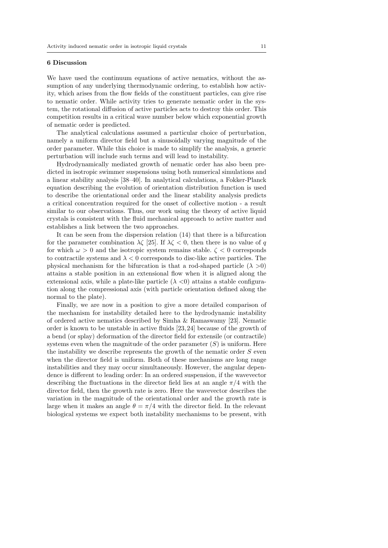## 6 Discussion

We have used the continuum equations of active nematics, without the assumption of any underlying thermodynamic ordering, to establish how activity, which arises from the flow fields of the constituent particles, can give rise to nematic order. While activity tries to generate nematic order in the system, the rotational diffusion of active particles acts to destroy this order. This competition results in a critical wave number below which exponential growth of nematic order is predicted.

The analytical calculations assumed a particular choice of perturbation, namely a uniform director field but a sinusoidally varying magnitude of the order parameter. While this choice is made to simplify the analysis, a generic perturbation will include such terms and will lead to instability.

Hydrodynamically mediated growth of nematic order has also been predicted in isotropic swimmer suspensions using both numerical simulations and a linear stability analysis [38–40]. In analytical calculations, a Fokker-Planck equation describing the evolution of orientation distribution function is used to describe the orientational order and the linear stability analysis predicts a critical concentration required for the onset of collective motion - a result similar to our observations. Thus, our work using the theory of active liquid crystals is consistent with the fluid mechanical approach to active matter and establishes a link between the two approaches.

It can be seen from the dispersion relation (14) that there is a bifurcation for the parameter combination  $\lambda \zeta$  [25]. If  $\lambda \zeta < 0$ , then there is no value of q for which  $\omega > 0$  and the isotropic system remains stable.  $\zeta < 0$  corresponds to contractile systems and  $\lambda < 0$  corresponds to disc-like active particles. The physical mechanism for the bifurcation is that a rod-shaped particle  $(\lambda > 0)$ attains a stable position in an extensional flow when it is aligned along the extensional axis, while a plate-like particle  $(\lambda \leq 0)$  attains a stable configuration along the compressional axis (with particle orientation defined along the normal to the plate).

Finally, we are now in a position to give a more detailed comparison of the mechanism for instability detailed here to the hydrodynamic instability of ordered active nematics described by Simha & Ramaswamy [23]. Nematic order is known to be unstable in active fluids [23, 24] because of the growth of a bend (or splay) deformation of the director field for extensile (or contractile) systems even when the magnitude of the order parameter  $(S)$  is uniform. Here the instability we describe represents the growth of the nematic order  $S$  even when the director field is uniform. Both of these mechanisms are long range instabilities and they may occur simultaneously. However, the angular dependence is different to leading order: In an ordered suspension, if the wavevector describing the fluctuations in the director field lies at an angle  $\pi/4$  with the director field, then the growth rate is zero. Here the wavevector describes the variation in the magnitude of the orientational order and the growth rate is large when it makes an angle  $\theta = \pi/4$  with the director field. In the relevant biological systems we expect both instability mechanisms to be present, with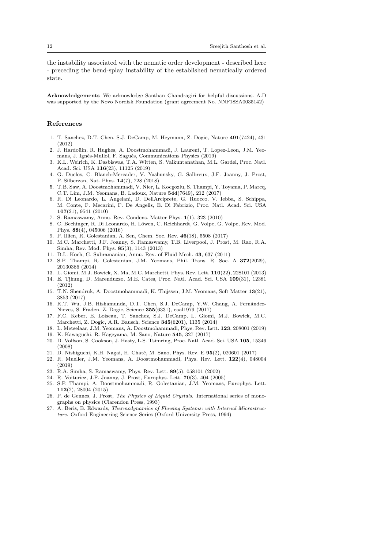the instability associated with the nematic order development - described here - preceding the bend-splay instability of the established nematically ordered state.

Acknowledgements We acknowledge Santhan Chandragiri for helpful discussions. A.D was supported by the Novo Nordisk Foundation (grant agreement No. NNF18SA0035142)

#### References

- 1. T. Sanchez, D.T. Chen, S.J. DeCamp, M. Heymann, Z. Dogic, Nature 491(7424), 431 (2012)
- 2. J. Hardoüin, R. Hughes, A. Doostmohammadi, J. Laurent, T. Lopez-Leon, J.M. Yeomans, J. Ignés-Mullol, F. Sagués, Communications Physics (2019)
- 3. K.L. Weirich, K. Dasbiswas, T.A. Witten, S. Vaikuntanathan, M.L. Gardel, Proc. Natl. Acad. Sci. USA 116(23), 11125 (2019)
- 4. G. Duclos, C. Blanch-Mercader, V. Yashunsky, G. Salbreux, J.F. Joanny, J. Prost, P. Silberzan, Nat. Phys. 14(7), 728 (2018)
- 5. T.B. Saw, A. Doostmohammadi, V. Nier, L. Kocgozlu, S. Thampi, Y. Toyama, P. Marcq, C.T. Lim, J.M. Yeomans, B. Ladoux, Nature 544(7649), 212 (2017)
- 6. R. Di Leonardo, L. Angelani, D. DellArciprete, G. Ruocco, V. Iebba, S. Schippa, M. Conte, F. Mecarini, F. De Angelis, E. Di Fabrizio, Proc. Natl. Acad. Sci. USA 107(21), 9541 (2010)
- 7. S. Ramaswamy, Annu. Rev. Condens. Matter Phys. 1(1), 323 (2010)
- 8. C. Bechinger, R. Di Leonardo, H. Löwen, C. Reichhardt, G. Volpe, G. Volpe, Rev. Mod. Phys. 88(4), 045006 (2016)
- 9. P. Illien, R. Golestanian, A. Sen, Chem. Soc. Rev. 46(18), 5508 (2017)
- 10. M.C. Marchetti, J.F. Joanny, S. Ramaswamy, T.B. Liverpool, J. Prost, M. Rao, R.A. Simha, Rev. Mod. Phys. 85(3), 1143 (2013)
- 11. D.L. Koch, G. Subramanian, Annu. Rev. of Fluid Mech. 43, 637 (2011)
- 12. S.P. Thampi, R. Golestanian, J.M. Yeomans, Phil. Trans. R. Soc. A 372(2029), 20130366 (2014)
- 13. L. Giomi, M.J. Bowick, X. Ma, M.C. Marchetti, Phys. Rev. Lett. 110(22), 228101 (2013)
- 14. E. Tjhung, D. Marenduzzo, M.E. Cates, Proc. Natl. Acad. Sci. USA 109(31), 12381 (2012)
- 15. T.N. Shendruk, A. Doostmohammadi, K. Thijssen, J.M. Yeomans, Soft Matter 13(21), 3853 (2017)
- 16. K.T. Wu, J.B. Hishamunda, D.T. Chen, S.J. DeCamp, Y.W. Chang, A. Fernández-Nieves, S. Fraden, Z. Dogic, Science 355(6331), eaal1979 (2017)
- 17. F.C. Keber, E. Loiseau, T. Sanchez, S.J. DeCamp, L. Giomi, M.J. Bowick, M.C. Marchetti, Z. Dogic, A.R. Bausch, Science 345(6201), 1135 (2014)
- 18. L. Metselaar, J.M. Yeomans, A. Doostmohammadi, Phys. Rev. Lett. 123, 208001 (2019) 19. K. Kawaguchi, R. Kageyama, M. Sano, Nature 545, 327 (2017)
- 
- 20. D. Volfson, S. Cookson, J. Hasty, L.S. Tsimring, Proc. Natl. Acad. Sci. USA 105, 15346 (2008)
- 21. D. Nishiguchi, K.H. Nagai, H. Chaté, M. Sano, Phys. Rev. E 95(2), 020601 (2017)
- 22. R. Mueller, J.M. Yeomans, A. Doostmohammadi, Phys. Rev. Lett. 122(4), 048004 (2019)
- 23. R.A. Simha, S. Ramaswamy, Phys. Rev. Lett. 89(5), 058101 (2002)
- 24. R. Voituriez, J.F. Joanny, J. Prost, Europhys. Lett. 70(3), 404 (2005)
- 25. S.P. Thampi, A. Doostmohammadi, R. Golestanian, J.M. Yeomans, Europhys. Lett. 112(2), 28004 (2015)
- 26. P. de Gennes, J. Prost, The Physics of Liquid Crystals. International series of monographs on physics (Clarendon Press, 1993)
- 27. A. Beris, B. Edwards, Thermodynamics of Flowing Systems: with Internal Microstructure. Oxford Engineering Science Series (Oxford University Press, 1994)